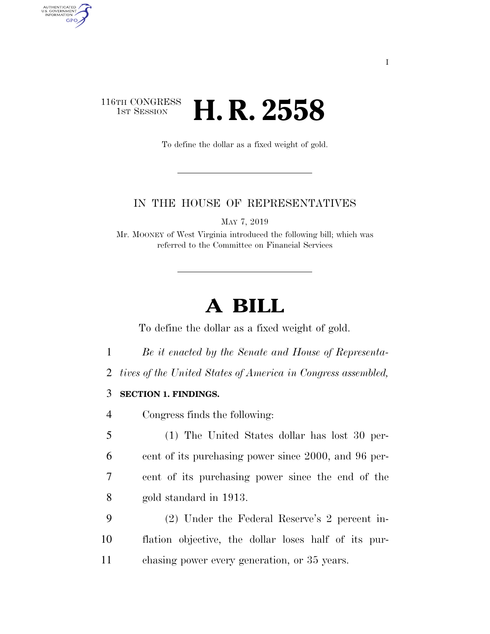## 116TH CONGRESS<br>1st Session **H. R. 2558**

AUTHENTICATED<br>U.S. GOVERNMENT<br>INFORMATION

**GPO** 

To define the dollar as a fixed weight of gold.

### IN THE HOUSE OF REPRESENTATIVES

MAY 7, 2019

Mr. MOONEY of West Virginia introduced the following bill; which was referred to the Committee on Financial Services

# **A BILL**

To define the dollar as a fixed weight of gold.

- 1 *Be it enacted by the Senate and House of Representa-*
- 2 *tives of the United States of America in Congress assembled,*

### 3 **SECTION 1. FINDINGS.**

- 4 Congress finds the following:
- 5 (1) The United States dollar has lost 30 per-6 cent of its purchasing power since 2000, and 96 per-7 cent of its purchasing power since the end of the 8 gold standard in 1913.
- 9 (2) Under the Federal Reserve's 2 percent in-10 flation objective, the dollar loses half of its pur-11 chasing power every generation, or 35 years.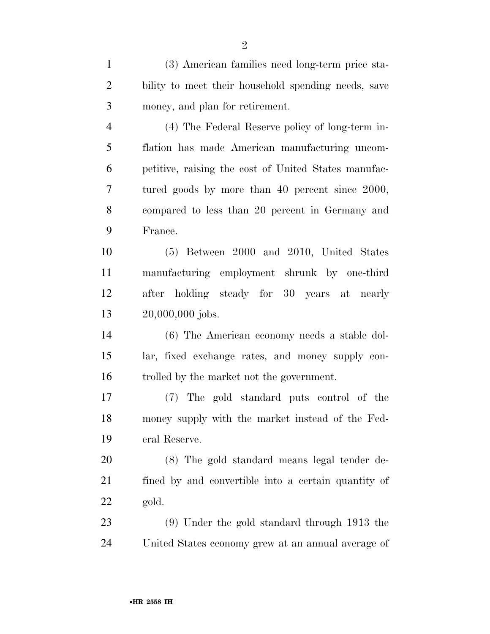(3) American families need long-term price sta- bility to meet their household spending needs, save money, and plan for retirement.

 (4) The Federal Reserve policy of long-term in- flation has made American manufacturing uncom- petitive, raising the cost of United States manufac- tured goods by more than 40 percent since 2000, compared to less than 20 percent in Germany and France.

 (5) Between 2000 and 2010, United States manufacturing employment shrunk by one-third after holding steady for 30 years at nearly 20,000,000 jobs.

 (6) The American economy needs a stable dol- lar, fixed exchange rates, and money supply con-trolled by the market not the government.

 (7) The gold standard puts control of the money supply with the market instead of the Fed-eral Reserve.

 (8) The gold standard means legal tender de- fined by and convertible into a certain quantity of gold.

 (9) Under the gold standard through 1913 the United States economy grew at an annual average of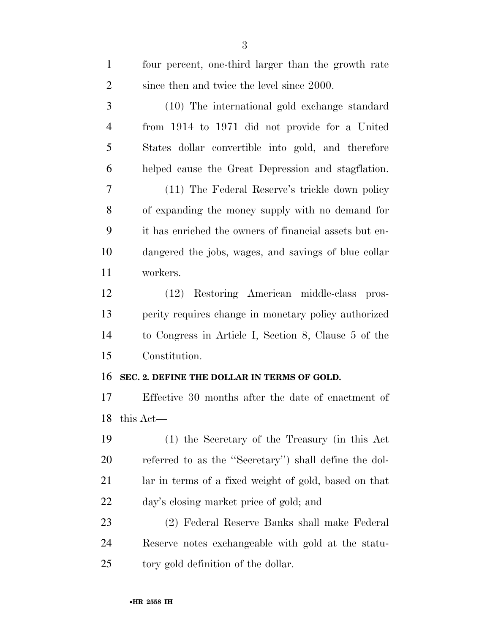| $\mathbf{1}$   | four percent, one-third larger than the growth rate    |
|----------------|--------------------------------------------------------|
| $\overline{2}$ | since then and twice the level since 2000.             |
| 3              | (10) The international gold exchange standard          |
| $\overline{4}$ | from 1914 to 1971 did not provide for a United         |
| 5              | States dollar convertible into gold, and therefore     |
| 6              | helped cause the Great Depression and stagflation.     |
| 7              | (11) The Federal Reserve's trickle down policy         |
| 8              | of expanding the money supply with no demand for       |
| 9              | it has enriched the owners of financial assets but en- |
| 10             | dangered the jobs, wages, and savings of blue collar   |
| 11             | workers.                                               |
| 12             | (12) Restoring American middle-class<br>pros-          |
| 13             | perity requires change in monetary policy authorized   |
| 14             | to Congress in Article I, Section 8, Clause 5 of the   |
| 15             | Constitution.                                          |
| 16             | SEC. 2. DEFINE THE DOLLAR IN TERMS OF GOLD.            |
| 17             | Effective 30 months after the date of enactment of     |
|                | 18 this Act-                                           |
| 19             | (1) the Secretary of the Treasury (in this Act         |
| 20             | referred to as the "Secretary") shall define the dol-  |
| 21             | lar in terms of a fixed weight of gold, based on that  |
| 22             | day's closing market price of gold; and                |
| 23             | (2) Federal Reserve Banks shall make Federal           |
| 24             | Reserve notes exchangeable with gold at the statu-     |
| 25             | tory gold definition of the dollar.                    |